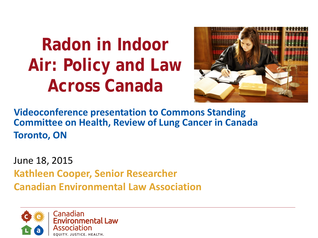# **Radon in Indoor Air: Policy and Law Across Canada**



**Videoconference presentation to Commons Standing Committee on Health, Review of Lung Cancer in Canada Toronto, ON**

June 18, 2015 **Kathleen Cooper, Senior Researcher Canadian Environmental Law Association**

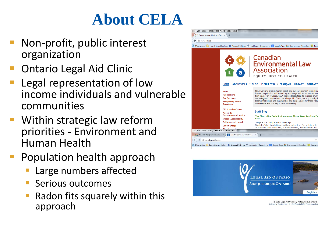### **About CELA**

- Non-profit, public interest organization
- Ontario Legal Aid Clinic
- Legal representation of low income individuals and vulnerable communities
- Within strategic law reform priorities - Environment and Human Health
- Population health approach
	- Large numbers affected
	- Serious outcomes
	- Radon fits squarely within this approach





© 2015 Legal Aid Ontario / Aide juridique Ontario Privacy / Contact Us | Confidentialité / Pour nous jo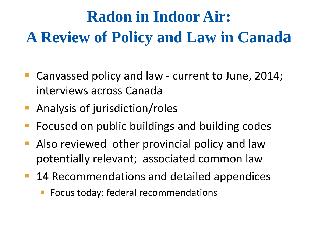# **Radon in Indoor Air: A Review of Policy and Law in Canada**

- Canvassed policy and law current to June, 2014; interviews across Canada
- Analysis of jurisdiction/roles
- Focused on public buildings and building codes
- Also reviewed other provincial policy and law potentially relevant; associated common law
- 14 Recommendations and detailed appendices
	- Focus today: federal recommendations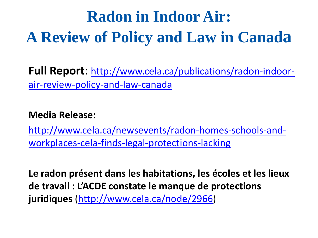## **Radon in Indoor Air: A Review of Policy and Law in Canada**

**Full Report**: [http://www.cela.ca/publications/radon-indoor](http://www.cela.ca/publications/radon-indoor-air-review-policy-and-law-canada)[air-review-policy-and-law-canada](http://www.cela.ca/publications/radon-indoor-air-review-policy-and-law-canada)

#### **Media Release:**

[http://www.cela.ca/newsevents/radon-homes-schools-and](http://www.cela.ca/newsevents/radon-homes-schools-and-workplaces-cela-finds-legal-protections-lacking)[workplaces-cela-finds-legal-protections-lacking](http://www.cela.ca/newsevents/radon-homes-schools-and-workplaces-cela-finds-legal-protections-lacking)

**Le radon présent dans les habitations, les écoles et les lieux de travail : L'ACDE constate le manque de protections juridiques** (<http://www.cela.ca/node/2966>)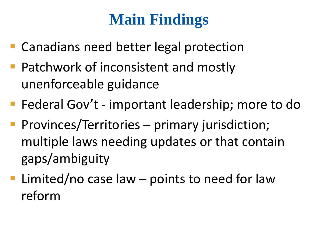## **Main Findings**

- Canadians need better legal protection
- **Patchwork of inconsistent and mostly** unenforceable guidance
- **Figure 2018** Federal Gov't important leadership; more to do
- **Provinces/Territories primary jurisdiction;** multiple laws needing updates or that contain gaps/ambiguity
- **Limited/no case law points to need for law** reform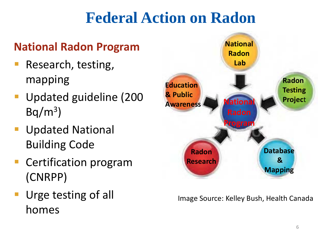## **Federal Action on Radon**

#### **National Radon Program**

- Research, testing, mapping
- **Updated guideline (200**  $Bq/m^3$
- **Updated National** Building Code
- **Certification program** (CNRPP)
- **Urge testing of all** homes



Image Source: Kelley Bush, Health Canada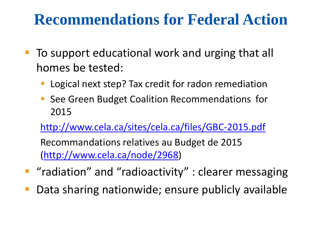#### **Recommendations for Federal Action**

- To support educational work and urging that all homes be tested:
	- Logical next step? Tax credit for radon remediation
	- See Green Budget Coalition Recommendations for 2015

<http://www.cela.ca/sites/cela.ca/files/GBC-2015.pdf>

Recommandations relatives au Budget de 2015 ([http://www.cela.ca/node/2968\)](http://www.cela.ca/node/2968)

- "radiation" and "radioactivity" : clearer messaging
- Data sharing nationwide; ensure publicly available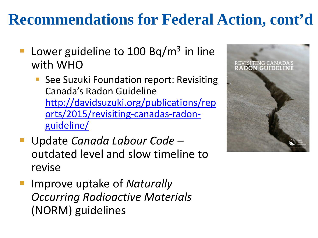### **Recommendations for Federal Action, cont'd**

- Lower guideline to 100 Bq/ $m<sup>3</sup>$  in line with WHO
	- See Suzuki Foundation report: Revisiting Canada's Radon Guideline [http://davidsuzuki.org/publications/rep](http://davidsuzuki.org/publications/reports/2015/revisiting-canadas-radon-guideline/) [orts/2015/revisiting-canadas-radon](http://davidsuzuki.org/publications/reports/2015/revisiting-canadas-radon-guideline/)[guideline/](http://davidsuzuki.org/publications/reports/2015/revisiting-canadas-radon-guideline/)
- Update *Canada Labour Code –* outdated level and slow timeline to revise
- Improve uptake of *Naturally Occurring Radioactive Materials*  (NORM) guidelines

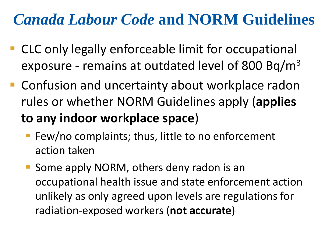#### *Canada Labour Code* **and NORM Guidelines**

- CLC only legally enforceable limit for occupational exposure - remains at outdated level of 800 Bq/m3
- Confusion and uncertainty about workplace radon rules or whether NORM Guidelines apply (**applies to any indoor workplace space**)
	- Few/no complaints; thus, little to no enforcement action taken
	- Some apply NORM, others deny radon is an occupational health issue and state enforcement action unlikely as only agreed upon levels are regulations for radiation-exposed workers (**not accurate**)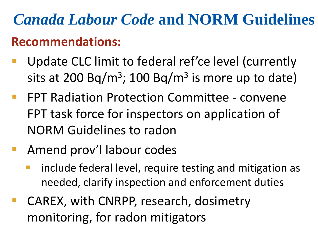## *Canada Labour Code* **and NORM Guidelines Recommendations:**

- Update CLC limit to federal ref'ce level (currently sits at 200 Bq/m<sup>3</sup>; 100 Bq/m<sup>3</sup> is more up to date)
- FPT Radiation Protection Committee convene FPT task force for inspectors on application of NORM Guidelines to radon
- **Amend prov'l labour codes** 
	- include federal level, require testing and mitigation as needed, clarify inspection and enforcement duties
- CAREX, with CNRPP, research, dosimetry monitoring, for radon mitigators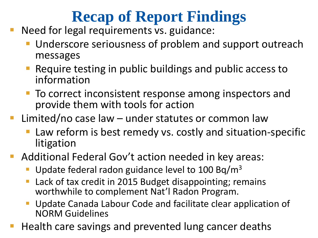### **Recap of Report Findings**

- Need for legal requirements vs. guidance:
	- Underscore seriousness of problem and support outreach messages
	- Require testing in public buildings and public access to information
	- To correct inconsistent response among inspectors and provide them with tools for action
- Limited/no case law under statutes or common law
	- Law reform is best remedy vs. costly and situation-specific litigation
- **Additional Federal Gov't action needed in key areas:** 
	- Update federal radon guidance level to  $100$  Bq/m<sup>3</sup>
	- Lack of tax credit in 2015 Budget disappointing; remains worthwhile to complement Nat'l Radon Program.
	- Update Canada Labour Code and facilitate clear application of NORM Guidelines
- Health care savings and prevented lung cancer deaths